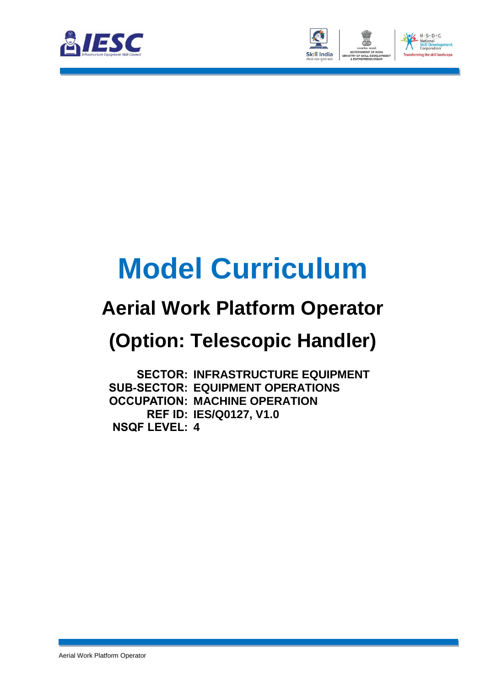



# **Model Curriculum**

### **Aerial Work Platform Operator**

## **(Option: Telescopic Handler)**

**SECTOR: INFRASTRUCTURE EQUIPMENT SUB-SECTOR: EQUIPMENT OPERATIONS OCCUPATION: MACHINE OPERATION REF ID: IES/Q0127, V1.0 NSQF LEVEL: 4**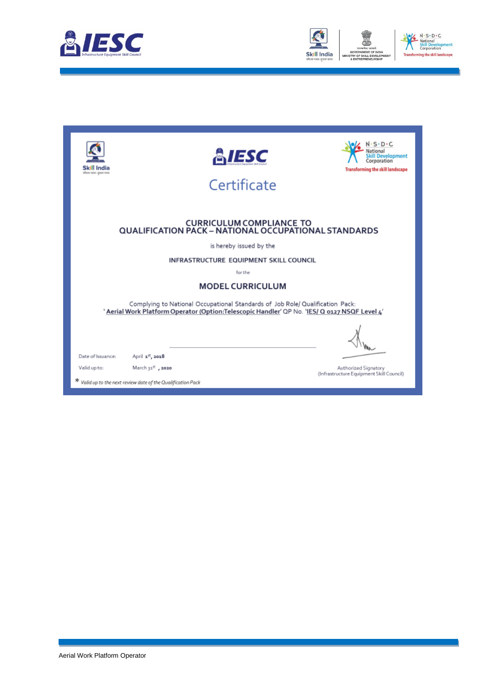



| Skill India<br>allest vest-gent vote | <b>E</b> iesc<br>Certificate                                                                                                                                                   | $S \cdot D \cdot C$<br>elooment<br>orporation.<br><b>Transforming the skill landscape</b> |
|--------------------------------------|--------------------------------------------------------------------------------------------------------------------------------------------------------------------------------|-------------------------------------------------------------------------------------------|
|                                      | <b>CURRICULUM COMPLIANCE TO</b><br>QUALIFICATION PACK - NATIONAL OCCUPATIONAL STANDARDS                                                                                        |                                                                                           |
|                                      | is hereby issued by the                                                                                                                                                        |                                                                                           |
|                                      | INFRASTRUCTURE EQUIPMENT SKILL COUNCIL                                                                                                                                         |                                                                                           |
|                                      | for the                                                                                                                                                                        |                                                                                           |
|                                      | <b>MODEL CURRICULUM</b>                                                                                                                                                        |                                                                                           |
|                                      | Complying to National Occupational Standards of Job Role/ Qualification Pack:<br>' Aerial Work Platform Operator (Option:Telescopic Handler' QP No. 'IES/ Q 0127 NSQF Level 4' |                                                                                           |
|                                      |                                                                                                                                                                                |                                                                                           |
| Date of Issuance:                    | April 1st, 2018                                                                                                                                                                |                                                                                           |
| Valid up to:                         | March 31 <sup>st</sup> , 2020                                                                                                                                                  | Authorized Signatory<br>(Infrastructure Equipment Skill Council)                          |
|                                      | * Valid up to the next review date of the Qualification Pack                                                                                                                   |                                                                                           |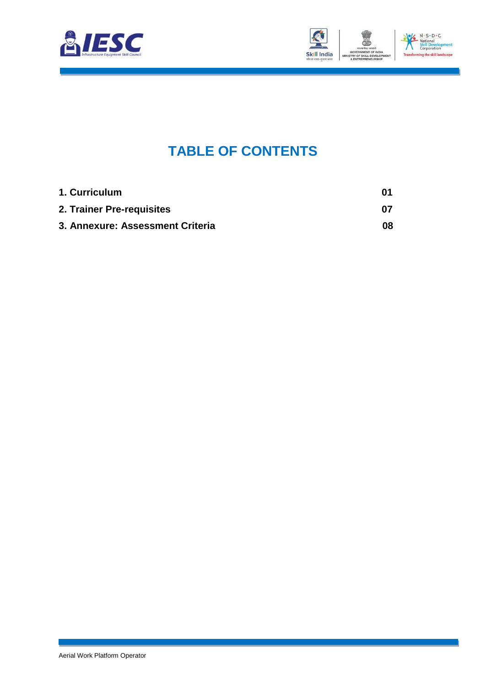



### **TABLE OF CONTENTS**

<span id="page-2-2"></span><span id="page-2-1"></span><span id="page-2-0"></span>

| 1. Curriculum                    | 01  |
|----------------------------------|-----|
| 2. Trainer Pre-requisites        | 07  |
| 3. Annexure: Assessment Criteria | 08. |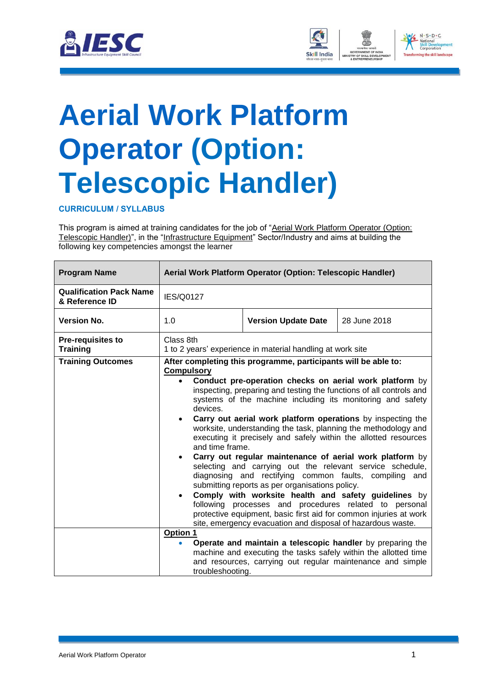



## <span id="page-3-0"></span>**[Aerial Work Platform](#page-2-0) [Operator](#page-2-0) (Option: Telescopic Handler)**

#### **CURRICULUM / SYLLABUS**

This program is aimed at training candidates for the job of "Aerial Work Platform Operator (Option: Telescopic Handler)", in the "Infrastructure Equipment" Sector/Industry and aims at building the following key competencies amongst the learner

| <b>Program Name</b>                              |                                                                                         | Aerial Work Platform Operator (Option: Telescopic Handler)                                                                                                                                                                                                                                                                                                                                                                                                                                                                                                                                                                                                                                                                                                                                                                                                                                                                                                     |              |
|--------------------------------------------------|-----------------------------------------------------------------------------------------|----------------------------------------------------------------------------------------------------------------------------------------------------------------------------------------------------------------------------------------------------------------------------------------------------------------------------------------------------------------------------------------------------------------------------------------------------------------------------------------------------------------------------------------------------------------------------------------------------------------------------------------------------------------------------------------------------------------------------------------------------------------------------------------------------------------------------------------------------------------------------------------------------------------------------------------------------------------|--------------|
| <b>Qualification Pack Name</b><br>& Reference ID | IES/Q0127                                                                               |                                                                                                                                                                                                                                                                                                                                                                                                                                                                                                                                                                                                                                                                                                                                                                                                                                                                                                                                                                |              |
| <b>Version No.</b>                               | 1.0                                                                                     | <b>Version Update Date</b>                                                                                                                                                                                                                                                                                                                                                                                                                                                                                                                                                                                                                                                                                                                                                                                                                                                                                                                                     | 28 June 2018 |
| <b>Pre-requisites to</b><br><b>Training</b>      | Class 8th                                                                               | 1 to 2 years' experience in material handling at work site                                                                                                                                                                                                                                                                                                                                                                                                                                                                                                                                                                                                                                                                                                                                                                                                                                                                                                     |              |
| <b>Training Outcomes</b>                         | <b>Compulsory</b><br>devices.<br>$\bullet$<br>and time frame.<br>$\bullet$<br>$\bullet$ | After completing this programme, participants will be able to:<br>Conduct pre-operation checks on aerial work platform by<br>inspecting, preparing and testing the functions of all controls and<br>systems of the machine including its monitoring and safety<br>Carry out aerial work platform operations by inspecting the<br>worksite, understanding the task, planning the methodology and<br>executing it precisely and safely within the allotted resources<br>Carry out regular maintenance of aerial work platform by<br>selecting and carrying out the relevant service schedule,<br>diagnosing and rectifying common faults, compiling and<br>submitting reports as per organisations policy.<br>Comply with worksite health and safety guidelines by<br>following processes and procedures related to personal<br>protective equipment, basic first aid for common injuries at work<br>site, emergency evacuation and disposal of hazardous waste. |              |
|                                                  | Option 1<br>troubleshooting.                                                            | Operate and maintain a telescopic handler by preparing the<br>machine and executing the tasks safely within the allotted time<br>and resources, carrying out regular maintenance and simple                                                                                                                                                                                                                                                                                                                                                                                                                                                                                                                                                                                                                                                                                                                                                                    |              |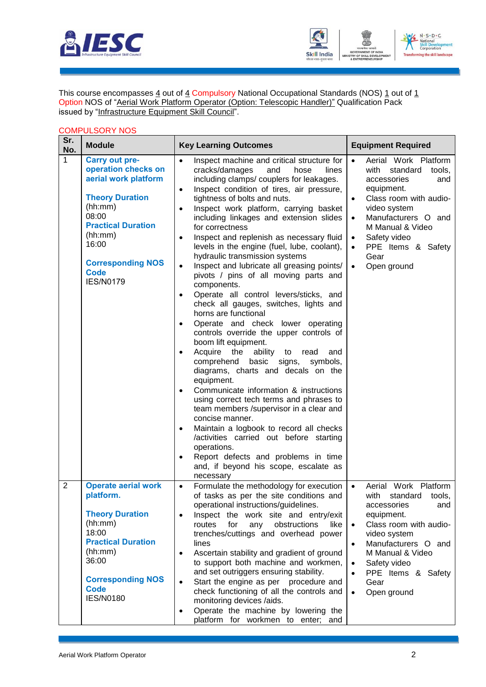



This course encompasses  $\underline{4}$  out of  $\underline{4}$  Compulsory National Occupational Standards (NOS)  $\underline{1}$  out of  $\underline{1}$ Option NOS of "Aerial Work Platform Operator (Option: Telescopic Handler)" Qualification Pack issued by "Infrastructure Equipment Skill Council".

#### COMPULSORY NOS

| Sr.<br>No.     | <b>Module</b>                                                                                                                                                                                                               | <b>Key Learning Outcomes</b>                                                                                                                                                                                                                                                                                                                                                                                                                                                                                                                                                                                                                                                                                                                                                                                                                                                                                                                                                                                                                                                                                                                                                                                                                                                                                                                                                                                   | <b>Equipment Required</b>                                                                                                                                                                                                                                                                                                 |
|----------------|-----------------------------------------------------------------------------------------------------------------------------------------------------------------------------------------------------------------------------|----------------------------------------------------------------------------------------------------------------------------------------------------------------------------------------------------------------------------------------------------------------------------------------------------------------------------------------------------------------------------------------------------------------------------------------------------------------------------------------------------------------------------------------------------------------------------------------------------------------------------------------------------------------------------------------------------------------------------------------------------------------------------------------------------------------------------------------------------------------------------------------------------------------------------------------------------------------------------------------------------------------------------------------------------------------------------------------------------------------------------------------------------------------------------------------------------------------------------------------------------------------------------------------------------------------------------------------------------------------------------------------------------------------|---------------------------------------------------------------------------------------------------------------------------------------------------------------------------------------------------------------------------------------------------------------------------------------------------------------------------|
| 1              | <b>Carry out pre-</b><br>operation checks on<br>aerial work platform<br><b>Theory Duration</b><br>(hh:mm)<br>08:00<br><b>Practical Duration</b><br>(hh:mm)<br>16:00<br><b>Corresponding NOS</b><br>Code<br><b>IES/N0179</b> | Inspect machine and critical structure for<br>$\bullet$<br>cracks/damages<br>and<br>hose<br>lines<br>including clamps/ couplers for leakages.<br>Inspect condition of tires, air pressure,<br>$\bullet$<br>tightness of bolts and nuts.<br>Inspect work platform, carrying basket<br>$\bullet$<br>including linkages and extension slides<br>for correctness<br>Inspect and replenish as necessary fluid<br>$\bullet$<br>levels in the engine (fuel, lube, coolant),<br>hydraulic transmission systems<br>Inspect and lubricate all greasing points/<br>$\bullet$<br>pivots / pins of all moving parts and<br>components.<br>Operate all control levers/sticks, and<br>$\bullet$<br>check all gauges, switches, lights and<br>horns are functional<br>Operate and check lower operating<br>$\bullet$<br>controls override the upper controls of<br>boom lift equipment.<br>Acquire<br>the<br>ability<br>to<br>read<br>and<br>٠<br>comprehend<br>basic<br>signs,<br>symbols,<br>diagrams, charts and decals on the<br>equipment.<br>Communicate information & instructions<br>$\bullet$<br>using correct tech terms and phrases to<br>team members /supervisor in a clear and<br>concise manner.<br>Maintain a logbook to record all checks<br>$\bullet$<br>/activities carried out before starting<br>operations.<br>Report defects and problems in time<br>$\bullet$<br>and, if beyond his scope, escalate as | Aerial Work Platform<br>$\bullet$<br>with<br>standard<br>tools,<br>accessories<br>and<br>equipment.<br>Class room with audio-<br>video system<br>Manufacturers O and<br>$\bullet$<br>M Manual & Video<br>Safety video<br>$\bullet$<br>PPE Items & Safety<br>$\bullet$<br>Gear<br>Open ground<br>$\bullet$                 |
| $\overline{2}$ | <b>Operate aerial work</b><br>platform.<br><b>Theory Duration</b><br>(hh:mm)<br>18:00<br><b>Practical Duration</b><br>(hh:mm)<br>36:00<br><b>Corresponding NOS</b><br><b>Code</b><br><b>IES/N0180</b>                       | necessary<br>Formulate the methodology for execution<br>$\bullet$<br>of tasks as per the site conditions and<br>operational instructions/guidelines.<br>Inspect the work site and entry/exit<br>$\bullet$<br>obstructions<br>routes<br>for<br>like<br>any<br>trenches/cuttings and overhead power<br>lines<br>Ascertain stability and gradient of ground<br>$\bullet$<br>to support both machine and workmen,<br>and set outriggers ensuring stability.<br>Start the engine as per procedure and<br>$\bullet$<br>check functioning of all the controls and<br>monitoring devices /aids.<br>Operate the machine by lowering the<br>٠<br>platform for workmen to enter; and                                                                                                                                                                                                                                                                                                                                                                                                                                                                                                                                                                                                                                                                                                                                      | Work Platform<br>Aerial<br>$\bullet$<br>with<br>standard<br>tools,<br>accessories<br>and<br>equipment.<br>Class room with audio-<br>$\bullet$<br>video system<br>Manufacturers O and<br>$\bullet$<br>M Manual & Video<br>Safety video<br>$\bullet$<br>PPE Items & Safety<br>$\bullet$<br>Gear<br>Open ground<br>$\bullet$ |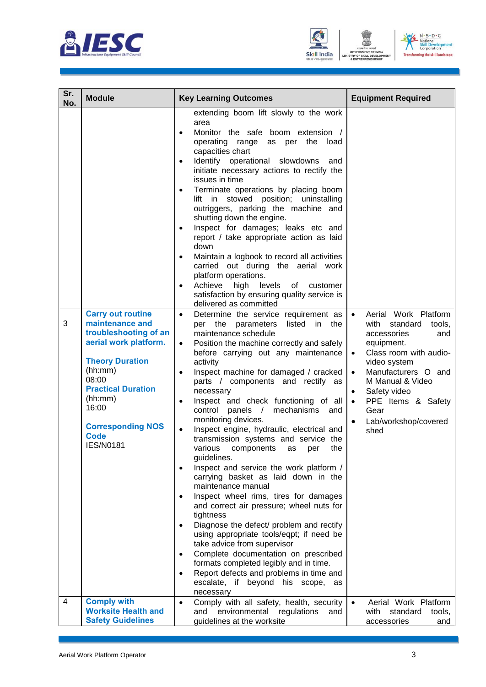





| Sr.<br>No. | <b>Module</b>                                                                                                                                                                                                                                               | <b>Key Learning Outcomes</b>                                                                                                                                                                                                                                                                                                                                                                                                                                                                                                                                                                                                                                                                                                                                                                                                                                                                                                                                                                                                                                                                                                                                                                                                       | <b>Equipment Required</b>                                                                                                                                                                                                                                                                                                               |
|------------|-------------------------------------------------------------------------------------------------------------------------------------------------------------------------------------------------------------------------------------------------------------|------------------------------------------------------------------------------------------------------------------------------------------------------------------------------------------------------------------------------------------------------------------------------------------------------------------------------------------------------------------------------------------------------------------------------------------------------------------------------------------------------------------------------------------------------------------------------------------------------------------------------------------------------------------------------------------------------------------------------------------------------------------------------------------------------------------------------------------------------------------------------------------------------------------------------------------------------------------------------------------------------------------------------------------------------------------------------------------------------------------------------------------------------------------------------------------------------------------------------------|-----------------------------------------------------------------------------------------------------------------------------------------------------------------------------------------------------------------------------------------------------------------------------------------------------------------------------------------|
|            |                                                                                                                                                                                                                                                             | extending boom lift slowly to the work<br>area<br>Monitor the safe<br>boom extension /<br>$\bullet$<br>operating range<br>the<br>as per<br>load<br>capacities chart<br>Identify operational slowdowns<br>and<br>$\bullet$<br>initiate necessary actions to rectify the<br>issues in time<br>Terminate operations by placing boom<br>lift in stowed position; uninstalling<br>outriggers, parking the machine and<br>shutting down the engine.<br>Inspect for damages; leaks etc and<br>report / take appropriate action as laid<br>down<br>Maintain a logbook to record all activities<br>carried out during the aerial work<br>platform operations.<br>Achieve<br>high levels<br>of<br>customer<br>$\bullet$<br>satisfaction by ensuring quality service is                                                                                                                                                                                                                                                                                                                                                                                                                                                                       |                                                                                                                                                                                                                                                                                                                                         |
| 3          | <b>Carry out routine</b><br>maintenance and<br>troubleshooting of an<br>aerial work platform.<br><b>Theory Duration</b><br>(hh:mm)<br>08:00<br><b>Practical Duration</b><br>(hh:mm)<br>16:00<br><b>Corresponding NOS</b><br><b>Code</b><br><b>IES/N0181</b> | delivered as committed<br>Determine the service requirement as<br>$\bullet$<br>per the parameters<br>listed<br>in the<br>maintenance schedule<br>Position the machine correctly and safely<br>$\bullet$<br>before carrying out any maintenance<br>activity<br>Inspect machine for damaged / cracked<br>$\bullet$<br>parts / components and rectify as<br>necessary<br>Inspect and check functioning of all<br>$\bullet$<br>panels /<br>mechanisms<br>control<br>and<br>monitoring devices.<br>Inspect engine, hydraulic, electrical and<br>$\bullet$<br>transmission systems and service the<br>various<br>the<br>components<br>as<br>per<br>guidelines.<br>Inspect and service the work platform /<br>$\bullet$<br>carrying basket as laid down in the<br>maintenance manual<br>Inspect wheel rims, tires for damages<br>$\bullet$<br>and correct air pressure; wheel nuts for<br>tightness<br>Diagnose the defect/ problem and rectify<br>using appropriate tools/eqpt; if need be<br>take advice from supervisor<br>Complete documentation on prescribed<br>$\bullet$<br>formats completed legibly and in time.<br>Report defects and problems in time and<br>$\bullet$<br>escalate, if<br>beyond his scope,<br>as<br>necessary | Aerial Work Platform<br>$\bullet$<br>standard<br>with<br>tools,<br>accessories<br>and<br>equipment.<br>Class room with audio-<br>$\bullet$<br>video system<br>Manufacturers O and<br>$\bullet$<br>M Manual & Video<br>Safety video<br>$\bullet$<br>PPE Items & Safety<br>$\bullet$<br>Gear<br>Lab/workshop/covered<br>$\bullet$<br>shed |
| 4          | <b>Comply with</b><br><b>Worksite Health and</b><br><b>Safety Guidelines</b>                                                                                                                                                                                | Comply with all safety, health, security<br>$\bullet$<br>environmental<br>regulations<br>and<br>and<br>guidelines at the worksite                                                                                                                                                                                                                                                                                                                                                                                                                                                                                                                                                                                                                                                                                                                                                                                                                                                                                                                                                                                                                                                                                                  | Aerial Work Platform<br>$\bullet$<br>with<br>standard<br>tools,<br>accessories<br>and                                                                                                                                                                                                                                                   |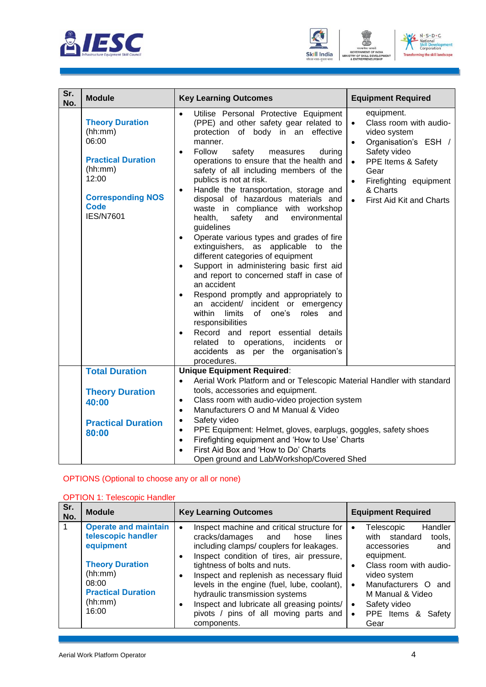





| Sr.<br>No. | <b>Module</b>                                                                                                                                              | <b>Key Learning Outcomes</b>                                                                                                                                                                                                                                                                                                                                                                                                                                                                                                                                                                                                                                                                                                                                                                                                                                                                                                                                                                                                                 | <b>Equipment Required</b>                                                                                                                                                                                              |
|------------|------------------------------------------------------------------------------------------------------------------------------------------------------------|----------------------------------------------------------------------------------------------------------------------------------------------------------------------------------------------------------------------------------------------------------------------------------------------------------------------------------------------------------------------------------------------------------------------------------------------------------------------------------------------------------------------------------------------------------------------------------------------------------------------------------------------------------------------------------------------------------------------------------------------------------------------------------------------------------------------------------------------------------------------------------------------------------------------------------------------------------------------------------------------------------------------------------------------|------------------------------------------------------------------------------------------------------------------------------------------------------------------------------------------------------------------------|
|            | <b>Theory Duration</b><br>(hh:mm)<br>06:00<br><b>Practical Duration</b><br>(hh:mm)<br>12:00<br><b>Corresponding NOS</b><br><b>Code</b><br><b>IES/N7601</b> | Utilise Personal Protective Equipment<br>(PPE) and other safety gear related to<br>protection of body in an effective<br>manner.<br>Follow<br>safety<br>during<br>measures<br>$\bullet$<br>operations to ensure that the health and<br>safety of all including members of the<br>publics is not at risk.<br>Handle the transportation, storage and<br>$\bullet$<br>disposal of hazardous materials and<br>waste in compliance with workshop<br>safety<br>health,<br>and<br>environmental<br>guidelines<br>Operate various types and grades of fire<br>extinguishers, as applicable to the<br>different categories of equipment<br>Support in administering basic first aid<br>$\bullet$<br>and report to concerned staff in case of<br>an accident<br>Respond promptly and appropriately to<br>an accident/ incident or emergency<br>within<br>limits<br>of one's<br>roles<br>and<br>responsibilities<br>Record and report essential details<br>related to operations, incidents<br>or<br>accidents as per the organisation's<br>procedures. | equipment.<br>Class room with audio-<br>$\bullet$<br>video system<br>Organisation's ESH /<br>$\bullet$<br>Safety video<br>PPE Items & Safety<br>Gear<br>Firefighting equipment<br>& Charts<br>First Aid Kit and Charts |
|            | <b>Total Duration</b>                                                                                                                                      | <b>Unique Equipment Required:</b>                                                                                                                                                                                                                                                                                                                                                                                                                                                                                                                                                                                                                                                                                                                                                                                                                                                                                                                                                                                                            |                                                                                                                                                                                                                        |
|            | <b>Theory Duration</b><br>40:00<br><b>Practical Duration</b><br>80:00                                                                                      | Aerial Work Platform and or Telescopic Material Handler with standard<br>$\bullet$<br>tools, accessories and equipment.<br>Class room with audio-video projection system<br>$\bullet$<br>Manufacturers O and M Manual & Video<br>$\bullet$<br>Safety video<br>$\bullet$<br>PPE Equipment: Helmet, gloves, earplugs, goggles, safety shoes<br>$\bullet$<br>Firefighting equipment and 'How to Use' Charts<br>$\bullet$<br>First Aid Box and 'How to Do' Charts<br>Open ground and Lab/Workshop/Covered Shed                                                                                                                                                                                                                                                                                                                                                                                                                                                                                                                                   |                                                                                                                                                                                                                        |

### OPTIONS (Optional to choose any or all or none)

| <b>OPTION 1: Telescopic Handler</b> |
|-------------------------------------|
|-------------------------------------|

| Sr.<br>No. | <b>Module</b>                                                                                                                                                 | <b>Key Learning Outcomes</b>                                                                                                                                                                                                                                                                                                                                                                                                                 | <b>Equipment Required</b>                                                                                                                                                                                                                                                                      |
|------------|---------------------------------------------------------------------------------------------------------------------------------------------------------------|----------------------------------------------------------------------------------------------------------------------------------------------------------------------------------------------------------------------------------------------------------------------------------------------------------------------------------------------------------------------------------------------------------------------------------------------|------------------------------------------------------------------------------------------------------------------------------------------------------------------------------------------------------------------------------------------------------------------------------------------------|
| 1          | <b>Operate and maintain</b><br>telescopic handler<br>equipment<br><b>Theory Duration</b><br>(hh:mm)<br>08:00<br><b>Practical Duration</b><br>(hh:mm)<br>16:00 | Inspect machine and critical structure for<br>cracks/damages and<br>hose<br>lines<br>including clamps/couplers for leakages.<br>Inspect condition of tires, air pressure,<br>tightness of bolts and nuts.<br>Inspect and replenish as necessary fluid<br>levels in the engine (fuel, lube, coolant),<br>hydraulic transmission systems<br>Inspect and lubricate all greasing points/<br>pivots / pins of all moving parts and<br>components. | Handler<br>Telescopic<br>$\bullet$<br>with standard<br>tools,<br>accessories<br>and<br>equipment.<br>Class room with audio-<br>$\bullet$<br>video system<br>Manufacturers O<br>$\bullet$<br>and<br>M Manual & Video<br>Safety video<br>$\bullet$<br>PPE Items &<br>Safety<br>$\bullet$<br>Gear |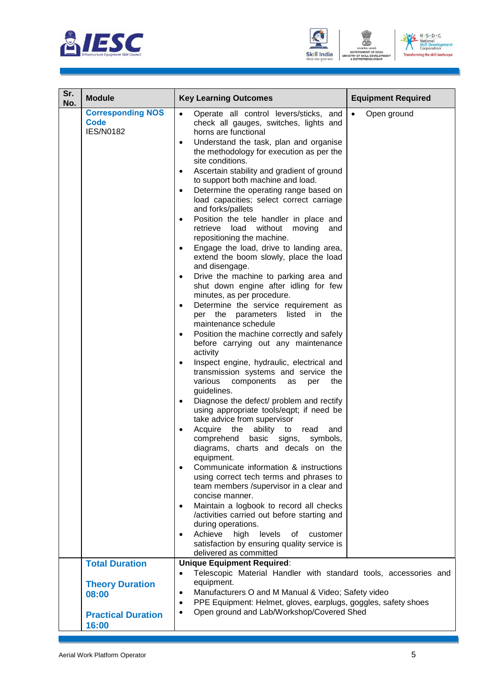

![](_page_7_Picture_1.jpeg)

![](_page_7_Picture_2.jpeg)

| Sr.<br>No. | <b>Module</b>                                               | <b>Key Learning Outcomes</b>                                                                                                                                                                                                                                                                                                                                                                                                                                                                                                                                                                                                                                                                                                                                                                                                                                                                                                                                                                                                                                                                                                                                                                                                                                                                                                                                                                                                                                                                                                                                                                                                                                                                                                                                        | <b>Equipment Required</b> |
|------------|-------------------------------------------------------------|---------------------------------------------------------------------------------------------------------------------------------------------------------------------------------------------------------------------------------------------------------------------------------------------------------------------------------------------------------------------------------------------------------------------------------------------------------------------------------------------------------------------------------------------------------------------------------------------------------------------------------------------------------------------------------------------------------------------------------------------------------------------------------------------------------------------------------------------------------------------------------------------------------------------------------------------------------------------------------------------------------------------------------------------------------------------------------------------------------------------------------------------------------------------------------------------------------------------------------------------------------------------------------------------------------------------------------------------------------------------------------------------------------------------------------------------------------------------------------------------------------------------------------------------------------------------------------------------------------------------------------------------------------------------------------------------------------------------------------------------------------------------|---------------------------|
|            | <b>Corresponding NOS</b><br><b>Code</b><br><b>IES/N0182</b> | Operate all control levers/sticks, and<br>$\bullet$<br>check all gauges, switches, lights and<br>horns are functional<br>Understand the task, plan and organise<br>$\bullet$<br>the methodology for execution as per the<br>site conditions.<br>Ascertain stability and gradient of ground<br>$\bullet$<br>to support both machine and load.<br>Determine the operating range based on<br>$\bullet$<br>load capacities; select correct carriage<br>and forks/pallets<br>Position the tele handler in place and<br>$\bullet$<br>retrieve<br>load without moving<br>and<br>repositioning the machine.<br>Engage the load, drive to landing area,<br>extend the boom slowly, place the load<br>and disengage.<br>Drive the machine to parking area and<br>shut down engine after idling for few<br>minutes, as per procedure.<br>Determine the service requirement as<br>$\bullet$<br>per the parameters listed in the<br>maintenance schedule<br>Position the machine correctly and safely<br>before carrying out any maintenance<br>activity<br>Inspect engine, hydraulic, electrical and<br>$\bullet$<br>transmission systems and service the<br>various<br>components<br>per<br>the<br>as<br>guidelines.<br>Diagnose the defect/ problem and rectify<br>$\bullet$<br>using appropriate tools/eqpt; if need be<br>take advice from supervisor<br>Acquire<br>the<br>ability<br>to<br>read<br>and<br>comprehend<br>basic<br>signs,<br>symbols,<br>diagrams, charts and decals on the<br>equipment.<br>Communicate information & instructions<br>using correct tech terms and phrases to<br>team members /supervisor in a clear and<br>concise manner.<br>Maintain a logbook to record all checks<br>/activities carried out before starting and<br>during operations. | Open ground<br>$\bullet$  |
|            |                                                             | Achieve<br>high<br>levels<br>of<br>customer<br>$\bullet$<br>satisfaction by ensuring quality service is<br>delivered as committed                                                                                                                                                                                                                                                                                                                                                                                                                                                                                                                                                                                                                                                                                                                                                                                                                                                                                                                                                                                                                                                                                                                                                                                                                                                                                                                                                                                                                                                                                                                                                                                                                                   |                           |
|            | <b>Total Duration</b>                                       | <b>Unique Equipment Required:</b>                                                                                                                                                                                                                                                                                                                                                                                                                                                                                                                                                                                                                                                                                                                                                                                                                                                                                                                                                                                                                                                                                                                                                                                                                                                                                                                                                                                                                                                                                                                                                                                                                                                                                                                                   |                           |
|            | <b>Theory Duration</b><br>08:00                             | Telescopic Material Handler with standard tools, accessories and<br>$\bullet$<br>equipment.<br>Manufacturers O and M Manual & Video; Safety video<br>$\bullet$<br>PPE Equipment: Helmet, gloves, earplugs, goggles, safety shoes<br>$\bullet$                                                                                                                                                                                                                                                                                                                                                                                                                                                                                                                                                                                                                                                                                                                                                                                                                                                                                                                                                                                                                                                                                                                                                                                                                                                                                                                                                                                                                                                                                                                       |                           |
|            | <b>Practical Duration</b><br>16:00                          | Open ground and Lab/Workshop/Covered Shed<br>$\bullet$                                                                                                                                                                                                                                                                                                                                                                                                                                                                                                                                                                                                                                                                                                                                                                                                                                                                                                                                                                                                                                                                                                                                                                                                                                                                                                                                                                                                                                                                                                                                                                                                                                                                                                              |                           |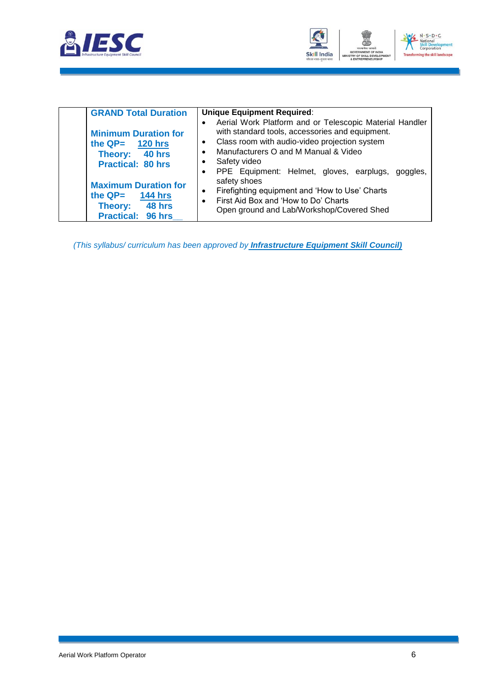![](_page_8_Picture_0.jpeg)

![](_page_8_Picture_1.jpeg)

| <b>GRAND Total Duration</b>                                                                               | <b>Unique Equipment Required:</b>                                                                                                                                                                                                                                                     |
|-----------------------------------------------------------------------------------------------------------|---------------------------------------------------------------------------------------------------------------------------------------------------------------------------------------------------------------------------------------------------------------------------------------|
| <b>Minimum Duration for</b><br>the $QP=$ 120 hrs<br>Theory: 40 hrs<br><b>Practical: 80 hrs</b>            | Aerial Work Platform and or Telescopic Material Handler<br>with standard tools, accessories and equipment.<br>Class room with audio-video projection system<br>Manufacturers O and M Manual & Video<br>$\bullet$<br>Safety video<br>PPE Equipment: Helmet, gloves, earplugs, goggles, |
| <b>Maximum Duration for</b><br>the $QP = 144$ hrs<br><b>48 hrs</b><br>Theory:<br><b>Practical: 96 hrs</b> | safety shoes<br>Firefighting equipment and 'How to Use' Charts<br>$\bullet$<br>First Aid Box and 'How to Do' Charts<br>$\bullet$<br>Open ground and Lab/Workshop/Covered Shed                                                                                                         |

*(This syllabus/ curriculum has been approved by Infrastructure Equipment Skill Council)*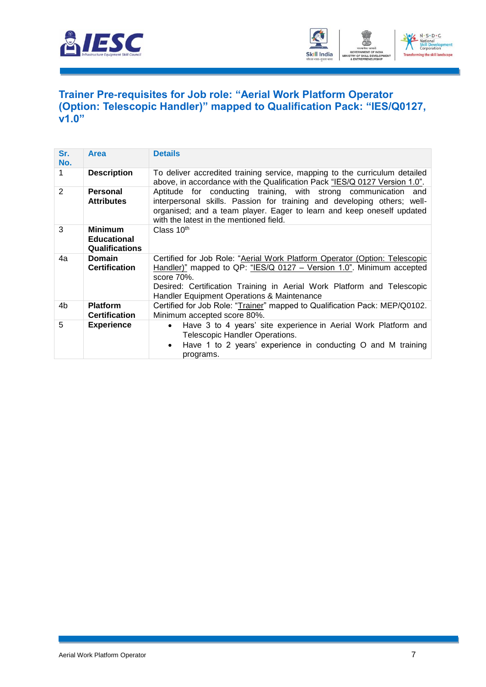![](_page_9_Picture_0.jpeg)

![](_page_9_Picture_1.jpeg)

### <span id="page-9-0"></span>**[Trainer Pre-requisites for Job role: "Aerial Work Platform](#page-2-1) Operator [\(Option: Telescopic Handler\)" mapped to Qualification Pack: "IES/Q0127,](#page-2-1)  [v1.0"](#page-2-1)**

| Sr.<br>No.     | <b>Area</b>                                                   | <b>Details</b>                                                                                                                                                                                                                                                                               |  |
|----------------|---------------------------------------------------------------|----------------------------------------------------------------------------------------------------------------------------------------------------------------------------------------------------------------------------------------------------------------------------------------------|--|
| 1              | <b>Description</b>                                            | To deliver accredited training service, mapping to the curriculum detailed<br>above, in accordance with the Qualification Pack "IES/Q 0127 Version 1.0".                                                                                                                                     |  |
| $\overline{2}$ | <b>Personal</b><br><b>Attributes</b>                          | Aptitude for conducting training, with strong communication and<br>interpersonal skills. Passion for training and developing others; well-<br>organised; and a team player. Eager to learn and keep oneself updated<br>with the latest in the mentioned field.                               |  |
| 3              | <b>Minimum</b><br><b>Educational</b><br><b>Qualifications</b> | Class $10th$                                                                                                                                                                                                                                                                                 |  |
| 4a             | <b>Domain</b><br><b>Certification</b>                         | Certified for Job Role: "Aerial Work Platform Operator (Option: Telescopic<br>Handler)" mapped to QP: "IES/Q 0127 - Version 1.0". Minimum accepted<br>score $70\%$ .<br>Desired: Certification Training in Aerial Work Platform and Telescopic<br>Handler Equipment Operations & Maintenance |  |
| 4b             | <b>Platform</b><br><b>Certification</b>                       | Certified for Job Role: "Trainer" mapped to Qualification Pack: MEP/Q0102.<br>Minimum accepted score 80%.                                                                                                                                                                                    |  |
| 5              | <b>Experience</b>                                             | Have 3 to 4 years' site experience in Aerial Work Platform and<br>$\bullet$<br>Telescopic Handler Operations.<br>Have 1 to 2 years' experience in conducting O and M training<br>programs.                                                                                                   |  |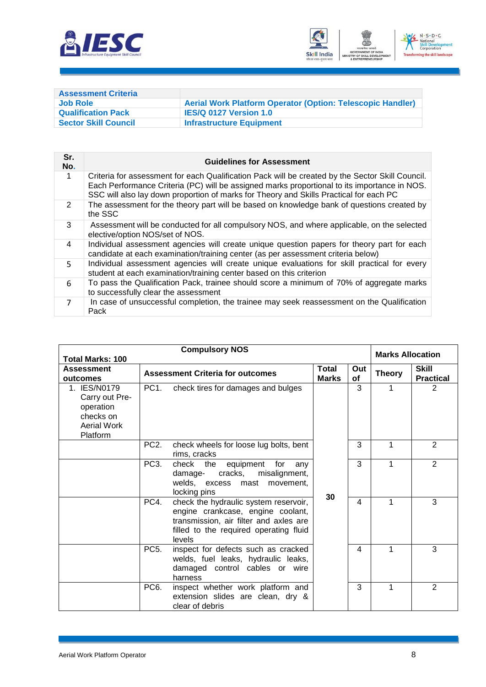![](_page_10_Picture_0.jpeg)

![](_page_10_Picture_1.jpeg)

<span id="page-10-0"></span>

| <b>Assessment Criteria</b>  |                                                                   |
|-----------------------------|-------------------------------------------------------------------|
| Job Role                    | <b>Aerial Work Platform Operator (Option: Telescopic Handler)</b> |
| <b>Qualification Pack</b>   | <b>IES/Q 0127 Version 1.0</b>                                     |
| <b>Sector Skill Council</b> | <b>Infrastructure Equipment</b>                                   |

| Sr.<br>No.     | <b>Guidelines for Assessment</b>                                                                                                                                                                                                                                                           |
|----------------|--------------------------------------------------------------------------------------------------------------------------------------------------------------------------------------------------------------------------------------------------------------------------------------------|
| 1              | Criteria for assessment for each Qualification Pack will be created by the Sector Skill Council.<br>Each Performance Criteria (PC) will be assigned marks proportional to its importance in NOS.<br>SSC will also lay down proportion of marks for Theory and Skills Practical for each PC |
| 2              | The assessment for the theory part will be based on knowledge bank of questions created by<br>the SSC                                                                                                                                                                                      |
| 3              | Assessment will be conducted for all compulsory NOS, and where applicable, on the selected<br>elective/option NOS/set of NOS.                                                                                                                                                              |
| 4              | Individual assessment agencies will create unique question papers for theory part for each<br>candidate at each examination/training center (as per assessment criteria below)                                                                                                             |
| 5.             | Individual assessment agencies will create unique evaluations for skill practical for every<br>student at each examination/training center based on this criterion                                                                                                                         |
| 6              | To pass the Qualification Pack, trainee should score a minimum of 70% of aggregate marks<br>to successfully clear the assessment                                                                                                                                                           |
| $\overline{7}$ | In case of unsuccessful completion, the trainee may seek reassessment on the Qualification<br>Pack                                                                                                                                                                                         |

| <b>Compulsory NOS</b>                                                               |                                         |                                                                                                                                                                          |                  |               | <b>Marks Allocation</b>          |                |
|-------------------------------------------------------------------------------------|-----------------------------------------|--------------------------------------------------------------------------------------------------------------------------------------------------------------------------|------------------|---------------|----------------------------------|----------------|
| <b>Total Marks: 100</b><br><b>Assessment</b><br>outcomes                            | <b>Assessment Criteria for outcomes</b> | <b>Total</b><br><b>Marks</b>                                                                                                                                             | Out<br><b>of</b> | <b>Theory</b> | <b>Skill</b><br><b>Practical</b> |                |
| 1. IES/N0179<br>Carry out Pre-<br>operation<br>checks on<br>Aerial Work<br>Platform | PC <sub>1</sub>                         | check tires for damages and bulges                                                                                                                                       |                  | 3             | 1                                | $\overline{2}$ |
|                                                                                     | PC <sub>2</sub> .                       | check wheels for loose lug bolts, bent<br>rims, cracks                                                                                                                   |                  | 3             | 1                                | 2              |
|                                                                                     | PC <sub>3</sub> .                       | check the<br>equipment<br>for<br>any<br>cracks,<br>misalignment,<br>damage-<br>welds, excess mast movement,<br>locking pins                                              |                  | 3             | 1                                | 2              |
|                                                                                     | PC4.                                    | check the hydraulic system reservoir,<br>engine crankcase, engine coolant,<br>transmission, air filter and axles are<br>filled to the required operating fluid<br>levels | 30               | 4             |                                  | 3              |
|                                                                                     | PC <sub>5</sub> .                       | inspect for defects such as cracked<br>welds, fuel leaks, hydraulic leaks,<br>damaged control cables or wire<br>harness                                                  |                  | 4             | 1                                | 3              |
|                                                                                     | PC <sub>6</sub> .                       | inspect whether work platform and<br>extension slides are clean, dry &<br>clear of debris                                                                                |                  | 3             | 1                                | 2              |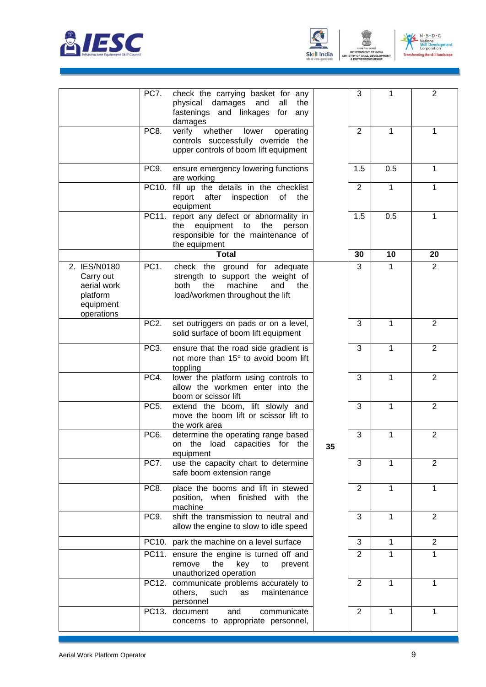![](_page_11_Picture_0.jpeg)

![](_page_11_Picture_1.jpeg)

![](_page_11_Picture_2.jpeg)

ENT

|                                                                                 | PC7.              | check the carrying basket for any<br>physical<br>damages<br>and<br>all<br>the<br>fastenings and linkages for<br>any<br>damages                        |    | 3              | 1            | $\overline{2}$ |
|---------------------------------------------------------------------------------|-------------------|-------------------------------------------------------------------------------------------------------------------------------------------------------|----|----------------|--------------|----------------|
|                                                                                 | PC8.              | whether<br>verify<br>lower<br>operating<br>controls successfully override the<br>upper controls of boom lift equipment                                |    | $\overline{2}$ | 1            | 1              |
|                                                                                 | PC9.              | ensure emergency lowering functions<br>are working                                                                                                    |    | 1.5            | 0.5          | 1              |
|                                                                                 |                   | PC10. fill up the details in the checklist<br>report after<br>inspection<br>of<br>the<br>equipment                                                    |    | $\overline{2}$ | $\mathbf{1}$ | $\mathbf{1}$   |
|                                                                                 |                   | PC11. report any defect or abnormality in<br>equipment to<br>the<br>the<br>person<br>responsible for the maintenance of<br>the equipment              |    | 1.5            | 0.5          | $\mathbf{1}$   |
|                                                                                 |                   | <b>Total</b>                                                                                                                                          |    | 30             | 10           | 20             |
| 2. IES/N0180<br>Carry out<br>aerial work<br>platform<br>equipment<br>operations | PC <sub>1</sub> . | check the ground for adequate<br>strength to support the weight of<br><b>both</b><br>the<br>machine<br>and<br>the<br>load/workmen throughout the lift |    | 3              | 1            | $\overline{2}$ |
|                                                                                 | PC <sub>2</sub> . | set outriggers on pads or on a level,<br>solid surface of boom lift equipment                                                                         |    | 3              | 1            | $\overline{2}$ |
|                                                                                 | PC <sub>3</sub> . | ensure that the road side gradient is<br>not more than 15° to avoid boom lift<br>toppling                                                             |    | 3              | 1            | $\overline{2}$ |
|                                                                                 | PC4.              | lower the platform using controls to<br>allow the workmen enter into the<br>boom or scissor lift                                                      |    | 3              | 1            | 2              |
|                                                                                 | PC <sub>5</sub> . | extend the boom, lift slowly and<br>move the boom lift or scissor lift to<br>the work area                                                            |    | 3              | 1            | $\overline{2}$ |
|                                                                                 | PC <sub>6</sub> . | determine the operating range based<br>the load capacities for the<br>on<br>equipment                                                                 | 35 | 3              | 1            | $\overline{2}$ |
|                                                                                 | PC7.              | use the capacity chart to determine<br>safe boom extension range                                                                                      |    | 3              | 1            | $\overline{2}$ |
|                                                                                 | PC8.              | place the booms and lift in stewed<br>position, when finished with the<br>machine                                                                     |    | 2              | 1            | 1              |
|                                                                                 | PC9.              | shift the transmission to neutral and<br>allow the engine to slow to idle speed                                                                       |    | 3              | 1            | $\overline{2}$ |
|                                                                                 |                   | PC10. park the machine on a level surface                                                                                                             |    | 3              | 1            | $\overline{2}$ |
|                                                                                 |                   | PC11. ensure the engine is turned off and<br>the<br>key<br>remove<br>to<br>prevent<br>unauthorized operation                                          |    | $\overline{2}$ | 1            | 1              |
|                                                                                 |                   | PC12. communicate problems accurately to<br>maintenance<br>others,<br>such<br>as<br>personnel                                                         |    | $\overline{2}$ | 1            | $\mathbf{1}$   |
|                                                                                 | PC13.             | document<br>and<br>communicate<br>concerns to appropriate personnel,                                                                                  |    | $\overline{2}$ | 1            | 1              |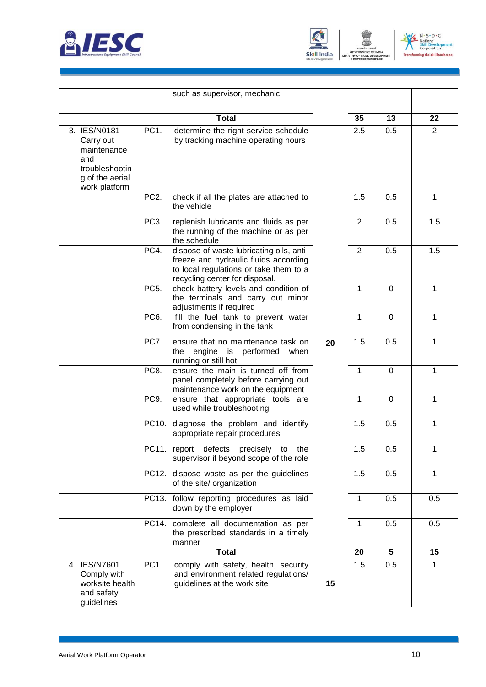![](_page_12_Picture_0.jpeg)

![](_page_12_Picture_1.jpeg)

![](_page_12_Picture_2.jpeg)

ENT

|                                                                                                       |                   | such as supervisor, mechanic                                                                                                                                  |    |                |             |                |
|-------------------------------------------------------------------------------------------------------|-------------------|---------------------------------------------------------------------------------------------------------------------------------------------------------------|----|----------------|-------------|----------------|
|                                                                                                       |                   | <b>Total</b>                                                                                                                                                  |    | 35             | 13          | 22             |
| 3. IES/N0181<br>Carry out<br>maintenance<br>and<br>troubleshootin<br>g of the aerial<br>work platform | PC <sub>1</sub> . | determine the right service schedule<br>by tracking machine operating hours                                                                                   |    | 2.5            | 0.5         | $\overline{2}$ |
|                                                                                                       | PC <sub>2</sub> . | check if all the plates are attached to<br>the vehicle                                                                                                        |    | 1.5            | 0.5         | 1              |
|                                                                                                       | PC3.              | replenish lubricants and fluids as per<br>the running of the machine or as per<br>the schedule                                                                |    | $\overline{2}$ | 0.5         | 1.5            |
|                                                                                                       | PC4.              | dispose of waste lubricating oils, anti-<br>freeze and hydraulic fluids according<br>to local regulations or take them to a<br>recycling center for disposal. |    | 2              | 0.5         | 1.5            |
|                                                                                                       | PC <sub>5</sub> . | check battery levels and condition of<br>the terminals and carry out minor<br>adjustments if required                                                         |    | 1              | $\mathbf 0$ | 1              |
|                                                                                                       | PC <sub>6</sub> . | fill the fuel tank to prevent water<br>from condensing in the tank                                                                                            |    | $\mathbf{1}$   | $\mathbf 0$ | 1              |
|                                                                                                       | PC7.              | ensure that no maintenance task on<br>engine is performed<br>the<br>when<br>running or still hot                                                              | 20 | 1.5            | 0.5         | 1              |
|                                                                                                       | PC8.              | ensure the main is turned off from<br>panel completely before carrying out<br>maintenance work on the equipment                                               |    | 1              | 0           | 1              |
|                                                                                                       | PC9.              | ensure that appropriate tools are<br>used while troubleshooting                                                                                               |    | 1              | 0           | 1              |
|                                                                                                       |                   | PC10. diagnose the problem and identify<br>appropriate repair procedures                                                                                      |    | 1.5            | 0.5         | 1              |
|                                                                                                       | PC11              | report defects precisely to the<br>supervisor if beyond scope of the role                                                                                     |    | 1.5            | 0.5         | 1              |
|                                                                                                       |                   | PC12. dispose waste as per the guidelines<br>of the site/ organization                                                                                        |    | 1.5            | 0.5         | 1              |
|                                                                                                       |                   | PC13. follow reporting procedures as laid<br>down by the employer                                                                                             |    | $\mathbf{1}$   | 0.5         | 0.5            |
|                                                                                                       |                   | PC14. complete all documentation as per<br>the prescribed standards in a timely<br>manner                                                                     |    | 1              | 0.5         | 0.5            |
|                                                                                                       |                   | <b>Total</b>                                                                                                                                                  |    | 20             | 5           | 15             |
| 4. IES/N7601<br>Comply with<br>worksite health<br>and safety<br>guidelines                            | PC <sub>1</sub> . | comply with safety, health, security<br>and environment related regulations/<br>guidelines at the work site                                                   | 15 | 1.5            | 0.5         | 1              |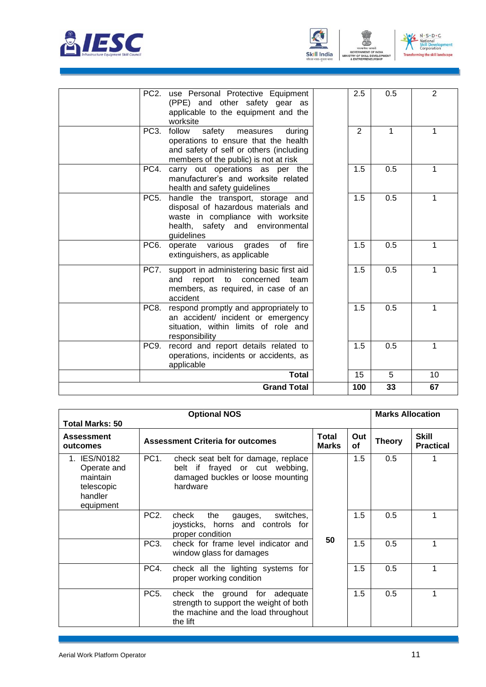![](_page_13_Picture_0.jpeg)

![](_page_13_Picture_1.jpeg)

![](_page_13_Picture_2.jpeg)

| PC2.<br>use Personal Protective Equipment<br>(PPE) and other safety gear as<br>applicable to the equipment and the<br>worksite                                             | 2.5 | 0.5 | $\overline{2}$ |
|----------------------------------------------------------------------------------------------------------------------------------------------------------------------------|-----|-----|----------------|
| PC3.<br>follow<br>safety<br>measures<br>during<br>operations to ensure that the health<br>and safety of self or others (including<br>members of the public) is not at risk | 2   | 1   | 1              |
| PC4.<br>carry out operations as per the<br>manufacturer's and worksite related<br>health and safety guidelines                                                             | 1.5 | 0.5 | 1              |
| PC5.<br>handle the transport, storage and<br>disposal of hazardous materials and<br>waste in compliance with worksite<br>health, safety and environmental<br>guidelines    | 1.5 | 0.5 | 1              |
| fire<br>PC6.<br>operate various<br>grades<br>of<br>extinguishers, as applicable                                                                                            | 1.5 | 0.5 | 1              |
| PC7.<br>support in administering basic first aid<br>report to concerned<br>and<br>team<br>members, as required, in case of an<br>accident                                  | 1.5 | 0.5 | 1              |
| PC8.<br>respond promptly and appropriately to<br>an accident/ incident or emergency<br>situation, within limits of role and<br>responsibility                              | 1.5 | 0.5 | 1              |
| record and report details related to<br>PC9.<br>operations, incidents or accidents, as<br>applicable                                                                       | 1.5 | 0.5 | 1              |
| <b>Total</b>                                                                                                                                                               | 15  | 5   | 10             |
| <b>Grand Total</b>                                                                                                                                                         | 100 | 33  | 67             |

| <b>Optional NOS</b>                                                                                |                   |                                                                                                                            |                              |                  |               | <b>Marks Allocation</b>          |  |
|----------------------------------------------------------------------------------------------------|-------------------|----------------------------------------------------------------------------------------------------------------------------|------------------------------|------------------|---------------|----------------------------------|--|
| <b>Total Marks: 50</b><br><b>Assessment</b><br><b>Assessment Criteria for outcomes</b><br>outcomes |                   |                                                                                                                            | <b>Total</b><br><b>Marks</b> | Out<br><b>of</b> | <b>Theory</b> | <b>Skill</b><br><b>Practical</b> |  |
| 1. IES/N0182<br>Operate and<br>maintain<br>telescopic<br>handler<br>equipment                      | PC1.              | check seat belt for damage, replace<br>belt if frayed or cut webbing,<br>damaged buckles or loose mounting<br>hardware     |                              | 1.5              | 0.5           |                                  |  |
|                                                                                                    | PC <sub>2</sub> . | check<br>the<br>switches,<br>gauges,<br>joysticks, horns and controls for<br>proper condition                              | 50                           | 1.5              | 0.5           | 1                                |  |
|                                                                                                    | PC <sub>3</sub> . | check for frame level indicator and<br>window glass for damages                                                            |                              | 1.5              | 0.5           | 1                                |  |
|                                                                                                    | PC4.              | check all the lighting systems for<br>proper working condition                                                             |                              | 1.5              | 0.5           | 1                                |  |
|                                                                                                    | PC <sub>5</sub> . | check the ground for adequate<br>strength to support the weight of both<br>the machine and the load throughout<br>the lift |                              | 1.5              | 0.5           | 1                                |  |